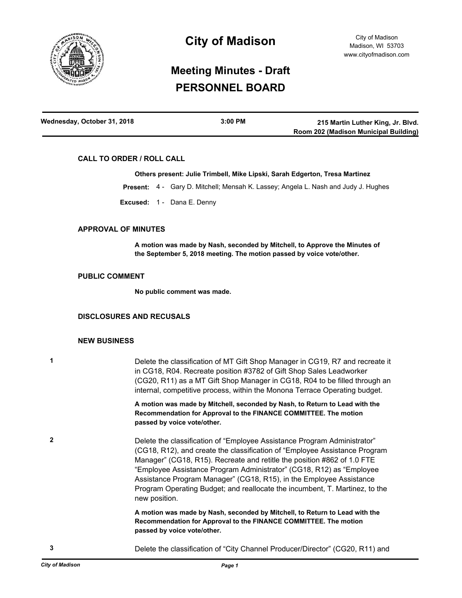

# **City of Madison**

# **Meeting Minutes - Draft PERSONNEL BOARD**

| Wednesday, October 31, 2018 | 3:00 PM | 215 Martin Luther King, Jr. Blvd.     |
|-----------------------------|---------|---------------------------------------|
|                             |         | Room 202 (Madison Municipal Building) |

### **CALL TO ORDER / ROLL CALL**

#### **Others present: Julie Trimbell, Mike Lipski, Sarah Edgerton, Tresa Martinez**

**Present:** 4 - Gary D. Mitchell; Mensah K. Lassey; Angela L. Nash and Judy J. Hughes

**Excused:** 1 - Dana E. Denny

### **APPROVAL OF MINUTES**

**A motion was made by Nash, seconded by Mitchell, to Approve the Minutes of the September 5, 2018 meeting. The motion passed by voice vote/other.**

#### **PUBLIC COMMENT**

**No public comment was made.**

## **DISCLOSURES AND RECUSALS**

### **NEW BUSINESS**

**1** Delete the classification of MT Gift Shop Manager in CG19, R7 and recreate it in CG18, R04. Recreate position #3782 of Gift Shop Sales Leadworker (CG20, R11) as a MT Gift Shop Manager in CG18, R04 to be filled through an internal, competitive process, within the Monona Terrace Operating budget.

> **A motion was made by Mitchell, seconded by Nash, to Return to Lead with the Recommendation for Approval to the FINANCE COMMITTEE. The motion passed by voice vote/other.**

**2** Delete the classification of "Employee Assistance Program Administrator" (CG18, R12), and create the classification of "Employee Assistance Program Manager" (CG18, R15). Recreate and retitle the position #862 of 1.0 FTE "Employee Assistance Program Administrator" (CG18, R12) as "Employee Assistance Program Manager" (CG18, R15), in the Employee Assistance Program Operating Budget; and reallocate the incumbent, T. Martinez, to the new position.

> **A motion was made by Nash, seconded by Mitchell, to Return to Lead with the Recommendation for Approval to the FINANCE COMMITTEE. The motion passed by voice vote/other.**

**3** Delete the classification of "City Channel Producer/Director" (CG20, R11) and